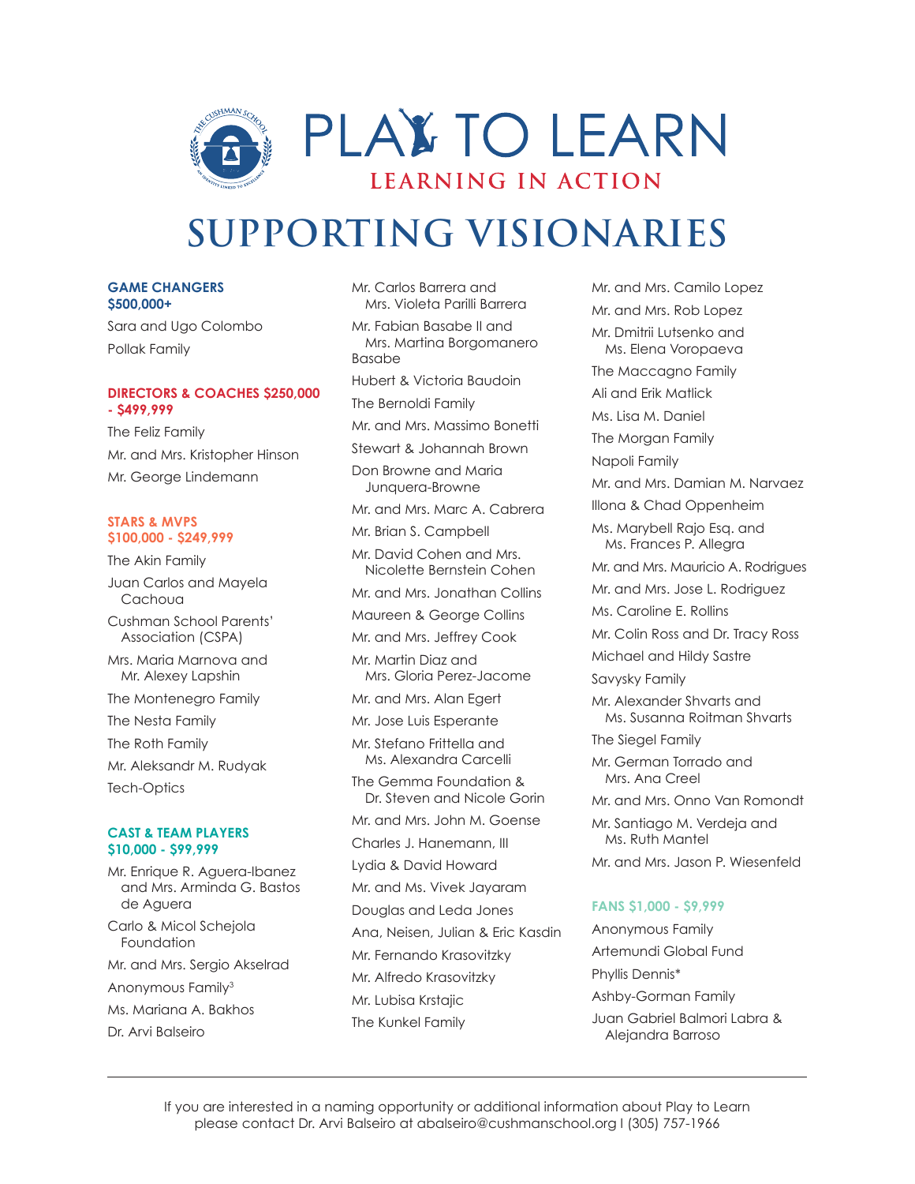

#### **GAME CHANGERS \$500,000+**

Sara and Ugo Colombo Pollak Family

#### **DIRECTORS & COACHES \$250,000 - \$499,999**

The Feliz Family Mr. and Mrs. Kristopher Hinson Mr. George Lindemann

#### **STARS & MVPS \$100,000 - \$249,999**

The Akin Family Juan Carlos and Mayela Cachoua Cushman School Parents' Association (CSPA) Mrs. Maria Marnova and Mr. Alexey Lapshin The Montenegro Family The Nesta Family The Roth Family Mr. Aleksandr M. Rudyak Tech-Optics **CAST & TEAM PLAYERS**

#### **\$10,000 - \$99,999** Mr. Enrique R. Aguera-Ibanez and Mrs. Arminda G. Bastos de Aguera

Carlo & Micol Schejola Foundation Mr. and Mrs. Sergio Akselrad Anonymous Family3 Ms. Mariana A. Bakhos Dr. Arvi Balseiro

Mr. Carlos Barrera and Mrs. Violeta Parilli Barrera Mr. Fabian Basabe II and Mrs. Martina Borgomanero Basabe Hubert & Victoria Baudoin The Bernoldi Family Mr. and Mrs. Massimo Bonetti Stewart & Johannah Brown Don Browne and Maria Junquera-Browne Mr. and Mrs. Marc A. Cabrera Mr. Brian S. Campbell Mr. David Cohen and Mrs. Nicolette Bernstein Cohen Mr. and Mrs. Jonathan Collins Maureen & George Collins Mr. and Mrs. Jeffrey Cook Mr. Martin Diaz and Mrs. Gloria Perez-Jacome Mr. and Mrs. Alan Egert Mr. Jose Luis Esperante Mr. Stefano Frittella and Ms. Alexandra Carcelli The Gemma Foundation & Dr. Steven and Nicole Gorin Mr. and Mrs. John M. Goense Charles J. Hanemann, III Lydia & David Howard Mr. and Ms. Vivek Jayaram Douglas and Leda Jones Ana, Neisen, Julian & Eric Kasdin Mr. Fernando Krasovitzky Mr. Alfredo Krasovitzky Mr. Lubisa Krstajic The Kunkel Family

Mr. and Mrs. Camilo Lopez Mr. and Mrs. Rob Lopez Mr. Dmitrii Lutsenko and Ms. Elena Voropaeva The Maccagno Family Ali and Erik Matlick Ms. Lisa M. Daniel The Morgan Family Napoli Family Mr. and Mrs. Damian M. Narvaez Illona & Chad Oppenheim Ms. Marybell Rajo Esq. and Ms. Frances P. Allegra Mr. and Mrs. Mauricio A. Rodrigues Mr. and Mrs. Jose L. Rodriguez Ms. Caroline E. Rollins Mr. Colin Ross and Dr. Tracy Ross Michael and Hildy Sastre Savysky Family Mr. Alexander Shvarts and Ms. Susanna Roitman Shvarts The Siegel Family Mr. German Torrado and Mrs. Ana Creel Mr. and Mrs. Onno Van Romondt Mr. Santiago M. Verdeja and Ms. Ruth Mantel Mr. and Mrs. Jason P. Wiesenfeld

#### **FANS \$1,000 - \$9,999**

Anonymous Family Artemundi Global Fund Phyllis Dennis\* Ashby-Gorman Family Juan Gabriel Balmori Labra & Alejandra Barroso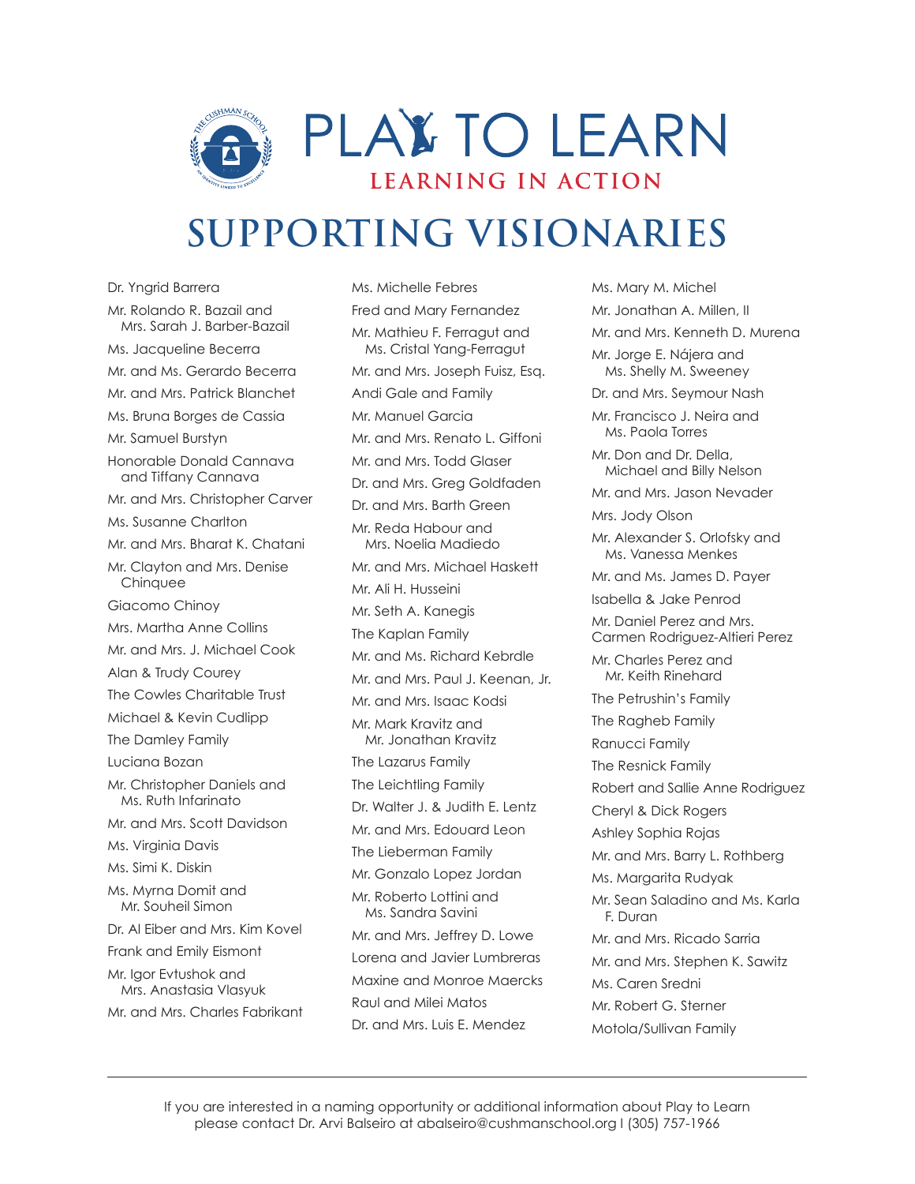

Dr. Yngrid Barrera Mr. Rolando R. Bazail and Mrs. Sarah J. Barber-Bazail Ms. Jacqueline Becerra Mr. and Ms. Gerardo Becerra Mr. and Mrs. Patrick Blanchet Ms. Bruna Borges de Cassia Mr. Samuel Burstyn Honorable Donald Cannava and Tiffany Cannava Mr. and Mrs. Christopher Carver Ms. Susanne Charlton Mr. and Mrs. Bharat K. Chatani Mr. Clayton and Mrs. Denise **Chinquee** Giacomo Chinoy Mrs. Martha Anne Collins Mr. and Mrs. J. Michael Cook Alan & Trudy Courey The Cowles Charitable Trust Michael & Kevin Cudlipp The Damley Family Luciana Bozan Mr. Christopher Daniels and Ms. Ruth Infarinato Mr. and Mrs. Scott Davidson Ms. Virginia Davis Ms. Simi K. Diskin Ms. Myrna Domit and Mr. Souheil Simon Dr. Al Eiber and Mrs. Kim Kovel Frank and Emily Eismont Mr. Igor Evtushok and Mrs. Anastasia Vlasyuk Mr. and Mrs. Charles Fabrikant

Ms. Michelle Febres Fred and Mary Fernandez Mr. Mathieu F. Ferragut and Ms. Cristal Yang-Ferragut Mr. and Mrs. Joseph Fuisz, Esq. Andi Gale and Family Mr. Manuel Garcia Mr. and Mrs. Renato L. Giffoni Mr. and Mrs. Todd Glaser Dr. and Mrs. Greg Goldfaden Dr. and Mrs. Barth Green Mr. Reda Habour and Mrs. Noelia Madiedo Mr. and Mrs. Michael Haskett Mr. Ali H. Husseini Mr. Seth A. Kanegis The Kaplan Family Mr. and Ms. Richard Kebrdle Mr. and Mrs. Paul J. Keenan, Jr. Mr. and Mrs. Isaac Kodsi Mr. Mark Kravitz and Mr. Jonathan Kravitz The Lazarus Family The Leichtling Family Dr. Walter J. & Judith E. Lentz Mr. and Mrs. Edouard Leon The Lieberman Family Mr. Gonzalo Lopez Jordan Mr. Roberto Lottini and Ms. Sandra Savini Mr. and Mrs. Jeffrey D. Lowe Lorena and Javier Lumbreras Maxine and Monroe Maercks Raul and Milei Matos Dr. and Mrs. Luis E. Mendez

Ms. Mary M. Michel Mr. Jonathan A. Millen, II Mr. and Mrs. Kenneth D. Murena Mr. Jorge E. Nájera and Ms. Shelly M. Sweeney Dr. and Mrs. Seymour Nash Mr. Francisco J. Neira and Ms. Paola Torres Mr. Don and Dr. Della, Michael and Billy Nelson Mr. and Mrs. Jason Nevader Mrs. Jody Olson Mr. Alexander S. Orlofsky and Ms. Vanessa Menkes Mr. and Ms. James D. Payer Isabella & Jake Penrod Mr. Daniel Perez and Mrs. Carmen Rodriguez-Altieri Perez Mr. Charles Perez and Mr. Keith Rinehard The Petrushin's Family The Ragheb Family Ranucci Family The Resnick Family Robert and Sallie Anne Rodriguez Cheryl & Dick Rogers Ashley Sophia Rojas Mr. and Mrs. Barry L. Rothberg Ms. Margarita Rudyak Mr. Sean Saladino and Ms. Karla F. Duran Mr. and Mrs. Ricado Sarria Mr. and Mrs. Stephen K. Sawitz Ms. Caren Sredni Mr. Robert G. Sterner Motola/Sullivan Family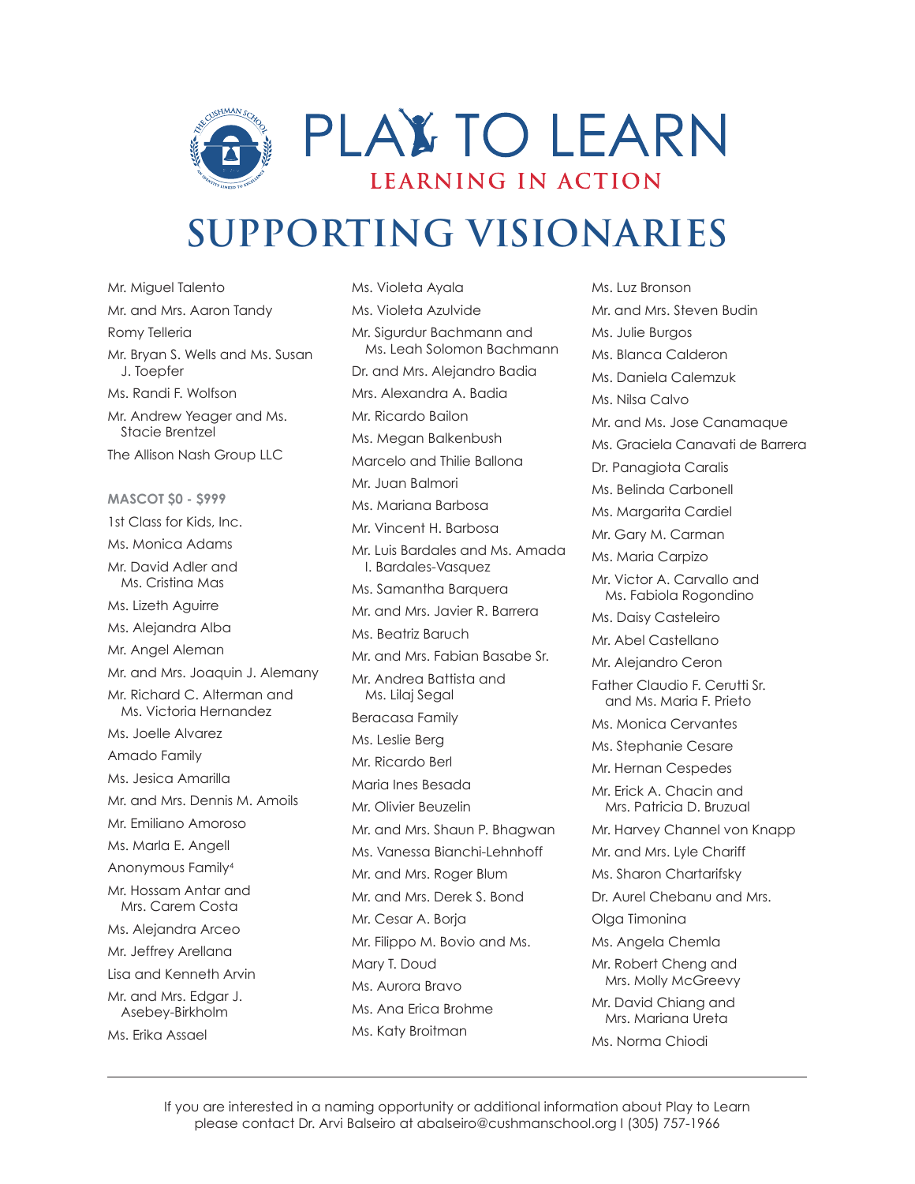

Mr. Miguel Talento Mr. and Mrs. Aaron Tandy Romy Telleria Mr. Bryan S. Wells and Ms. Susan J. Toepfer Ms. Randi F. Wolfson Mr. Andrew Yeager and Ms. Stacie Brentzel The Allison Nash Group LLC **MASCOT \$0 - \$999** 1st Class for Kids, Inc. Ms. Monica Adams Mr. David Adler and Ms. Cristina Mas Ms. Lizeth Aguirre Ms. Alejandra Alba Mr. Angel Aleman Mr. and Mrs. Joaquin J. Alemany Mr. Richard C. Alterman and Ms. Victoria Hernandez Ms. Joelle Alvarez Amado Family Ms. Jesica Amarilla Mr. and Mrs. Dennis M. Amoils Mr. Emiliano Amoroso Ms. Marla E. Angell Anonymous Family4 Mr. Hossam Antar and Mrs. Carem Costa Ms. Alejandra Arceo Mr. Jeffrey Arellana Lisa and Kenneth Arvin Mr. and Mrs. Edgar J. Asebey-Birkholm Ms. Erika Assael

Ms. Violeta Ayala Ms. Violeta Azulvide Mr. Sigurdur Bachmann and Ms. Leah Solomon Bachmann Dr. and Mrs. Alejandro Badia Mrs. Alexandra A. Badia Mr. Ricardo Bailon Ms. Megan Balkenbush Marcelo and Thilie Ballona Mr. Juan Balmori Ms. Mariana Barbosa Mr. Vincent H. Barbosa Mr. Luis Bardales and Ms. Amada I. Bardales-Vasquez Ms. Samantha Barquera Mr. and Mrs. Javier R. Barrera Ms. Beatriz Baruch Mr. and Mrs. Fabian Basabe Sr. Mr. Andrea Battista and Ms. Lilaj Segal Beracasa Family Ms. Leslie Berg Mr. Ricardo Berl Maria Ines Besada Mr. Olivier Beuzelin Mr. and Mrs. Shaun P. Bhagwan Ms. Vanessa Bianchi-Lehnhoff Mr. and Mrs. Roger Blum Mr. and Mrs. Derek S. Bond Mr. Cesar A. Borja Mr. Filippo M. Bovio and Ms. Mary T. Doud Ms. Aurora Bravo Ms. Ana Erica Brohme Ms. Katy Broitman

Ms. Luz Bronson Mr. and Mrs. Steven Budin Ms. Julie Burgos Ms. Blanca Calderon Ms. Daniela Calemzuk Ms. Nilsa Calvo Mr. and Ms. Jose Canamaque Ms. Graciela Canavati de Barrera Dr. Panagiota Caralis Ms. Belinda Carbonell Ms. Margarita Cardiel Mr. Gary M. Carman Ms. Maria Carpizo Mr. Victor A. Carvallo and Ms. Fabiola Rogondino Ms. Daisy Casteleiro Mr. Abel Castellano Mr. Alejandro Ceron Father Claudio F. Cerutti Sr. and Ms. Maria F. Prieto Ms. Monica Cervantes Ms. Stephanie Cesare Mr. Hernan Cespedes Mr. Erick A. Chacin and Mrs. Patricia D. Bruzual Mr. Harvey Channel von Knapp Mr. and Mrs. Lyle Chariff Ms. Sharon Chartarifsky Dr. Aurel Chebanu and Mrs. Olga Timonina Ms. Angela Chemla Mr. Robert Cheng and Mrs. Molly McGreevy Mr. David Chiang and Mrs. Mariana Ureta Ms. Norma Chiodi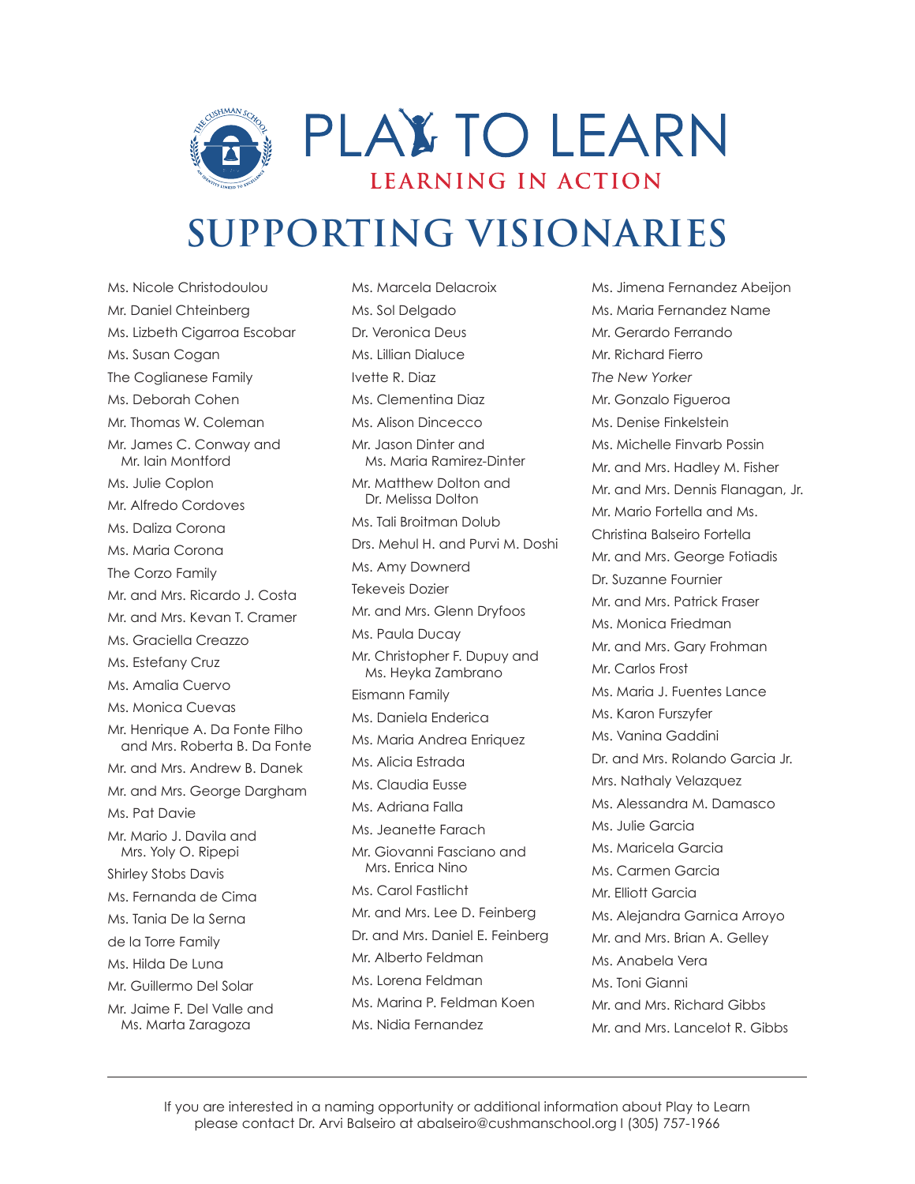

Ms. Nicole Christodoulou Mr. Daniel Chteinberg Ms. Lizbeth Cigarroa Escobar Ms. Susan Cogan The Coglianese Family Ms. Deborah Cohen Mr. Thomas W. Coleman Mr. James C. Conway and Mr. Iain Montford Ms. Julie Coplon Mr. Alfredo Cordoves Ms. Daliza Corona Ms. Maria Corona The Corzo Family Mr. and Mrs. Ricardo J. Costa Mr. and Mrs. Kevan T. Cramer Ms. Graciella Creazzo Ms. Estefany Cruz Ms. Amalia Cuervo Ms. Monica Cuevas Mr. Henrique A. Da Fonte Filho and Mrs. Roberta B. Da Fonte Mr. and Mrs. Andrew B. Danek Mr. and Mrs. George Dargham Ms. Pat Davie Mr. Mario J. Davila and Mrs. Yoly O. Ripepi Shirley Stobs Davis Ms. Fernanda de Cima Ms. Tania De la Serna de la Torre Family Ms. Hilda De Luna Mr. Guillermo Del Solar Mr. Jaime F. Del Valle and Ms. Marta Zaragoza

Ms. Marcela Delacroix Ms. Sol Delgado Dr. Veronica Deus Ms. Lillian Dialuce Ivette R. Diaz Ms. Clementina Diaz Ms. Alison Dincecco Mr. Jason Dinter and Ms. Maria Ramirez-Dinter Mr. Matthew Dolton and Dr. Melissa Dolton Ms. Tali Broitman Dolub Drs. Mehul H. and Purvi M. Doshi Ms. Amy Downerd Tekeveis Dozier Mr. and Mrs. Glenn Dryfoos Ms. Paula Ducay Mr. Christopher F. Dupuy and Ms. Heyka Zambrano Eismann Family Ms. Daniela Enderica Ms. Maria Andrea Enriquez Ms. Alicia Estrada Ms. Claudia Eusse Ms. Adriana Falla Ms. Jeanette Farach Mr. Giovanni Fasciano and Mrs. Enrica Nino Ms. Carol Fastlicht Mr. and Mrs. Lee D. Feinberg Dr. and Mrs. Daniel E. Feinberg Mr. Alberto Feldman Ms. Lorena Feldman Ms. Marina P. Feldman Koen Ms. Nidia Fernandez

Ms. Jimena Fernandez Abeijon Ms. Maria Fernandez Name Mr. Gerardo Ferrando Mr. Richard Fierro *The New Yorker* Mr. Gonzalo Figueroa Ms. Denise Finkelstein Ms. Michelle Finvarb Possin Mr. and Mrs. Hadley M. Fisher Mr. and Mrs. Dennis Flanagan, Jr. Mr. Mario Fortella and Ms. Christina Balseiro Fortella Mr. and Mrs. George Fotiadis Dr. Suzanne Fournier Mr. and Mrs. Patrick Fraser Ms. Monica Friedman Mr. and Mrs. Gary Frohman Mr. Carlos Frost Ms. Maria J. Fuentes Lance Ms. Karon Furszyfer Ms. Vanina Gaddini Dr. and Mrs. Rolando Garcia Jr. Mrs. Nathaly Velazquez Ms. Alessandra M. Damasco Ms. Julie Garcia Ms. Maricela Garcia Ms. Carmen Garcia Mr. Elliott Garcia Ms. Alejandra Garnica Arroyo Mr. and Mrs. Brian A. Gelley Ms. Anabela Vera Ms. Toni Gianni Mr. and Mrs. Richard Gibbs Mr. and Mrs. Lancelot R. Gibbs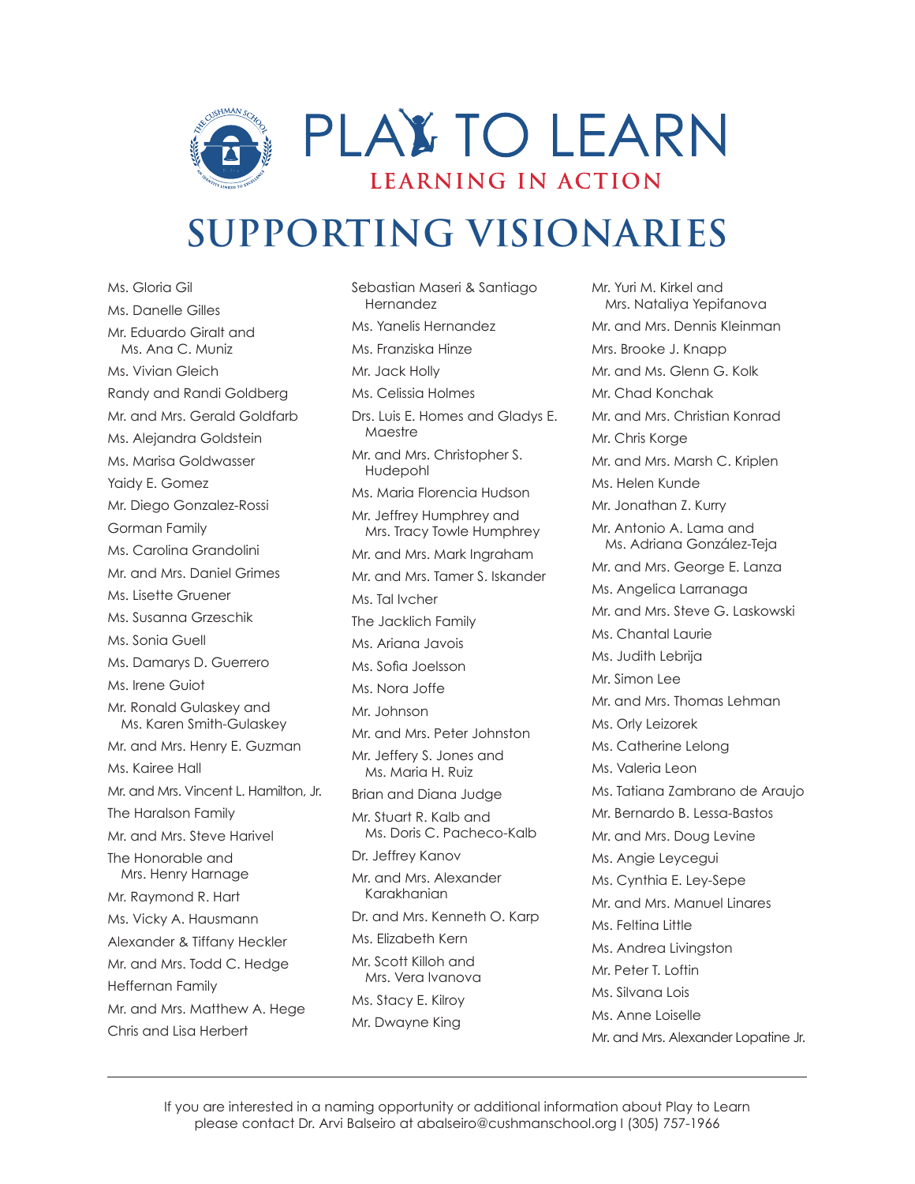

Ms. Gloria Gil Ms. Danelle Gilles Mr. Eduardo Giralt and Ms. Ana C. Muniz Ms. Vivian Gleich Randy and Randi Goldberg Mr. and Mrs. Gerald Goldfarb Ms. Alejandra Goldstein Ms. Marisa Goldwasser Yaidy E. Gomez Mr. Diego Gonzalez-Rossi Gorman Family Ms. Carolina Grandolini Mr. and Mrs. Daniel Grimes Ms. Lisette Gruener Ms. Susanna Grzeschik Ms. Sonia Guell Ms. Damarys D. Guerrero Ms. Irene Guiot Mr. Ronald Gulaskey and Ms. Karen Smith-Gulaskey Mr. and Mrs. Henry E. Guzman Ms. Kairee Hall Mr. and Mrs. Vincent L. Hamilton, Jr. The Haralson Family Mr. and Mrs. Steve Harivel The Honorable and Mrs. Henry Harnage Mr. Raymond R. Hart Ms. Vicky A. Hausmann Alexander & Tiffany Heckler Mr. and Mrs. Todd C. Hedge Heffernan Family Mr. and Mrs. Matthew A. Hege Chris and Lisa Herbert

Sebastian Maseri & Santiago Hernandez Ms. Yanelis Hernandez Ms. Franziska Hinze Mr. Jack Holly Ms. Celissia Holmes Drs. Luis E. Homes and Gladys E. Maestre Mr. and Mrs. Christopher S. Hudepohl Ms. Maria Florencia Hudson Mr. Jeffrey Humphrey and Mrs. Tracy Towle Humphrey Mr. and Mrs. Mark Ingraham Mr. and Mrs. Tamer S. Iskander Ms. Tal Ivcher The Jacklich Family Ms. Ariana Javois Ms. Sofia Joelsson Ms. Nora Joffe Mr. Johnson Mr. and Mrs. Peter Johnston Mr. Jeffery S. Jones and Ms. Maria H. Ruiz Brian and Diana Judge Mr. Stuart R. Kalb and Ms. Doris C. Pacheco-Kalb Dr. Jeffrey Kanov Mr. and Mrs. Alexander Karakhanian Dr. and Mrs. Kenneth O. Karp Ms. Elizabeth Kern Mr. Scott Killoh and Mrs. Vera Ivanova Ms. Stacy E. Kilroy Mr. Dwayne King

Mr. Yuri M. Kirkel and Mrs. Nataliya Yepifanova Mr. and Mrs. Dennis Kleinman Mrs. Brooke J. Knapp Mr. and Ms. Glenn G. Kolk Mr. Chad Konchak Mr. and Mrs. Christian Konrad Mr. Chris Korge Mr. and Mrs. Marsh C. Kriplen Ms. Helen Kunde Mr. Jonathan Z. Kurry Mr. Antonio A. Lama and Ms. Adriana González-Teja Mr. and Mrs. George E. Lanza Ms. Angelica Larranaga Mr. and Mrs. Steve G. Laskowski Ms. Chantal Laurie Ms. Judith Lebrija Mr. Simon Lee Mr. and Mrs. Thomas Lehman Ms. Orly Leizorek Ms. Catherine Lelong Ms. Valeria Leon Ms. Tatiana Zambrano de Araujo Mr. Bernardo B. Lessa-Bastos Mr. and Mrs. Doug Levine Ms. Angie Leycegui Ms. Cynthia E. Ley-Sepe Mr. and Mrs. Manuel Linares Ms. Feltina Little Ms. Andrea Livingston Mr. Peter T. Loftin Ms. Silvana Lois Ms. Anne Loiselle Mr. and Mrs. Alexander Lopatine Jr.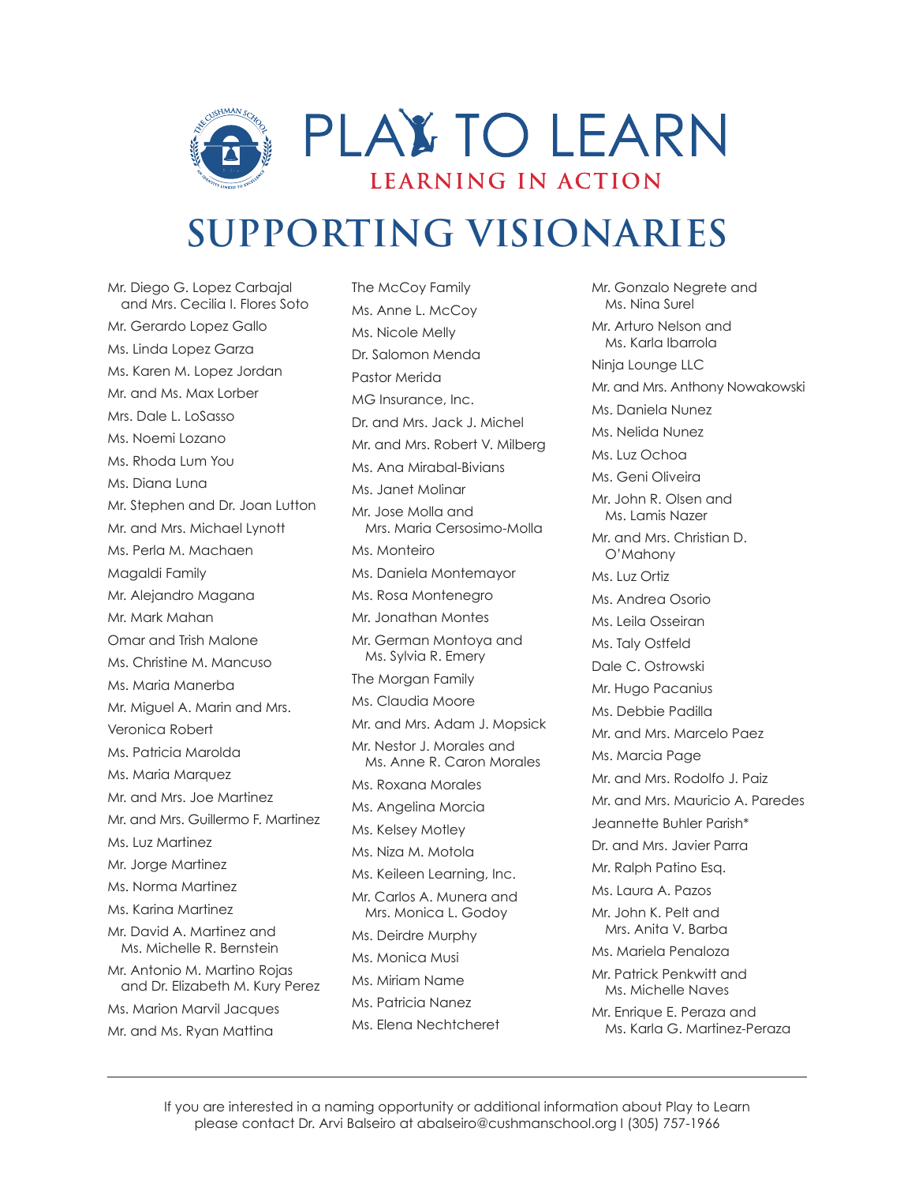

Mr. Diego G. Lopez Carbajal and Mrs. Cecilia I. Flores Soto Mr. Gerardo Lopez Gallo Ms. Linda Lopez Garza Ms. Karen M. Lopez Jordan Mr. and Ms. Max Lorber Mrs. Dale L. LoSasso Ms. Noemi Lozano Ms. Rhoda Lum You Ms. Diana Luna Mr. Stephen and Dr. Joan Lutton Mr. and Mrs. Michael Lynott Ms. Perla M. Machaen Magaldi Family Mr. Alejandro Magana Mr. Mark Mahan Omar and Trish Malone Ms. Christine M. Mancuso Ms. Maria Manerba Mr. Miguel A. Marin and Mrs. Veronica Robert Ms. Patricia Marolda Ms. Maria Marquez Mr. and Mrs. Joe Martinez Mr. and Mrs. Guillermo F. Martinez Ms. Luz Martinez Mr. Jorge Martinez Ms. Norma Martinez Ms. Karina Martinez Mr. David A. Martinez and Ms. Michelle R. Bernstein Mr. Antonio M. Martino Rojas and Dr. Elizabeth M. Kury Perez Ms. Marion Marvil Jacques Mr. and Ms. Ryan Mattina

The McCoy Family Ms. Anne L. McCoy Ms. Nicole Melly Dr. Salomon Menda Pastor Merida MG Insurance, Inc. Dr. and Mrs. Jack J. Michel Mr. and Mrs. Robert V. Milberg Ms. Ana Mirabal-Bivians Ms. Janet Molinar Mr. Jose Molla and Mrs. Maria Cersosimo-Molla Ms. Monteiro Ms. Daniela Montemayor Ms. Rosa Montenegro Mr. Jonathan Montes Mr. German Montoya and Ms. Sylvia R. Emery The Morgan Family Ms. Claudia Moore Mr. and Mrs. Adam J. Mopsick Mr. Nestor J. Morales and Ms. Anne R. Caron Morales Ms. Roxana Morales Ms. Angelina Morcia Ms. Kelsey Motley Ms. Niza M. Motola Ms. Keileen Learning, Inc. Mr. Carlos A. Munera and Mrs. Monica L. Godoy Ms. Deirdre Murphy Ms. Monica Musi Ms. Miriam Name Ms. Patricia Nanez Ms. Elena Nechtcheret

Mr. Gonzalo Negrete and Ms. Nina Surel Mr. Arturo Nelson and Ms. Karla Ibarrola Ninja Lounge LLC Mr. and Mrs. Anthony Nowakowski Ms. Daniela Nunez Ms. Nelida Nunez Ms. Luz Ochoa Ms. Geni Oliveira Mr. John R. Olsen and Ms. Lamis Nazer Mr. and Mrs. Christian D. O'Mahony Ms. Luz Ortiz Ms. Andrea Osorio Ms. Leila Osseiran Ms. Taly Ostfeld Dale C. Ostrowski Mr. Hugo Pacanius Ms. Debbie Padilla Mr. and Mrs. Marcelo Paez Ms. Marcia Page Mr. and Mrs. Rodolfo J. Paiz Mr. and Mrs. Mauricio A. Paredes Jeannette Buhler Parish\* Dr. and Mrs. Javier Parra Mr. Ralph Patino Esq. Ms. Laura A. Pazos Mr. John K. Pelt and Mrs. Anita V. Barba Ms. Mariela Penaloza Mr. Patrick Penkwitt and Ms. Michelle Naves Mr. Enrique E. Peraza and Ms. Karla G. Martinez-Peraza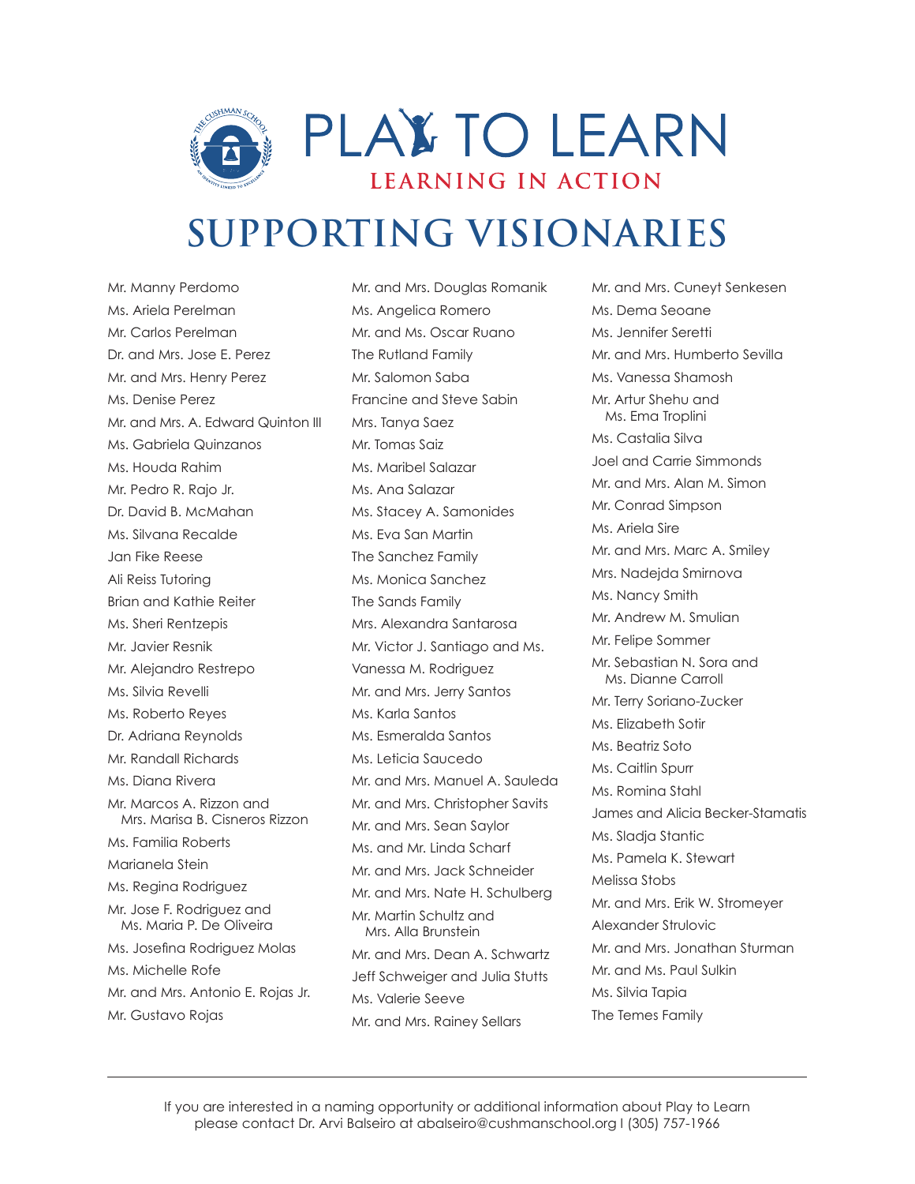

Mr. Manny Perdomo Ms. Ariela Perelman Mr. Carlos Perelman Dr. and Mrs. Jose E. Perez Mr. and Mrs. Henry Perez Ms. Denise Perez Mr. and Mrs. A. Edward Quinton III Ms. Gabriela Quinzanos Ms. Houda Rahim Mr. Pedro R. Rajo Jr. Dr. David B. McMahan Ms. Silvana Recalde Jan Fike Reese Ali Reiss Tutoring Brian and Kathie Reiter Ms. Sheri Rentzepis Mr. Javier Resnik Mr. Alejandro Restrepo Ms. Silvia Revelli Ms. Roberto Reyes Dr. Adriana Reynolds Mr. Randall Richards Ms. Diana Rivera Mr. Marcos A. Rizzon and Mrs. Marisa B. Cisneros Rizzon Ms. Familia Roberts Marianela Stein Ms. Regina Rodriguez Mr. Jose F. Rodriguez and Ms. Maria P. De Oliveira Ms. Josefina Rodriguez Molas Ms. Michelle Rofe Mr. and Mrs. Antonio E. Rojas Jr. Mr. Gustavo Rojas

Mr. and Mrs. Douglas Romanik Ms. Angelica Romero Mr. and Ms. Oscar Ruano The Rutland Family Mr. Salomon Saba Francine and Steve Sabin Mrs. Tanya Saez Mr. Tomas Saiz Ms. Maribel Salazar Ms. Ana Salazar Ms. Stacey A. Samonides Ms. Eva San Martin The Sanchez Family Ms. Monica Sanchez The Sands Family Mrs. Alexandra Santarosa Mr. Victor J. Santiago and Ms. Vanessa M. Rodriguez Mr. and Mrs. Jerry Santos Ms. Karla Santos Ms. Esmeralda Santos Ms. Leticia Saucedo Mr. and Mrs. Manuel A. Sauleda Mr. and Mrs. Christopher Savits Mr. and Mrs. Sean Saylor Ms. and Mr. Linda Scharf Mr. and Mrs. Jack Schneider Mr. and Mrs. Nate H. Schulberg Mr. Martin Schultz and Mrs. Alla Brunstein Mr. and Mrs. Dean A. Schwartz Jeff Schweiger and Julia Stutts Ms. Valerie Seeve Mr. and Mrs. Rainey Sellars

Mr. and Mrs. Cuneyt Senkesen Ms. Dema Seoane Ms. Jennifer Seretti Mr. and Mrs. Humberto Sevilla Ms. Vanessa Shamosh Mr. Artur Shehu and Ms. Ema Troplini Ms. Castalia Silva Joel and Carrie Simmonds Mr. and Mrs. Alan M. Simon Mr. Conrad Simpson Ms. Ariela Sire Mr. and Mrs. Marc A. Smiley Mrs. Nadejda Smirnova Ms. Nancy Smith Mr. Andrew M. Smulian Mr. Felipe Sommer Mr. Sebastian N. Sora and Ms. Dianne Carroll Mr. Terry Soriano-Zucker Ms. Elizabeth Sotir Ms. Beatriz Soto Ms. Caitlin Spurr Ms. Romina Stahl James and Alicia Becker-Stamatis Ms. Sladja Stantic Ms. Pamela K. Stewart Melissa Stobs Mr. and Mrs. Erik W. Stromeyer Alexander Strulovic Mr. and Mrs. Jonathan Sturman Mr. and Ms. Paul Sulkin Ms. Silvia Tapia The Temes Family